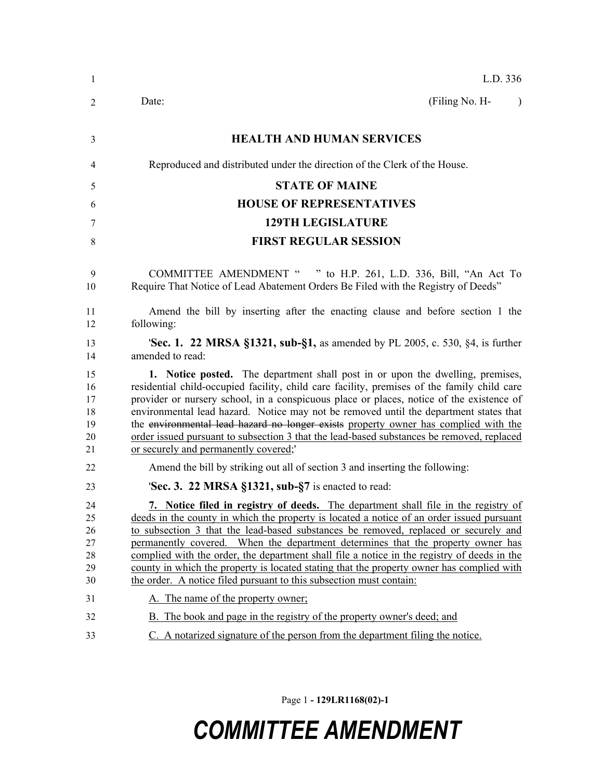| 1                                      | L.D. 336                                                                                                                                                                                                                                                                                                                                                                                                                                                                                                                                                                                                                     |
|----------------------------------------|------------------------------------------------------------------------------------------------------------------------------------------------------------------------------------------------------------------------------------------------------------------------------------------------------------------------------------------------------------------------------------------------------------------------------------------------------------------------------------------------------------------------------------------------------------------------------------------------------------------------------|
| 2                                      | (Filing No. H-<br>Date:<br>$\lambda$                                                                                                                                                                                                                                                                                                                                                                                                                                                                                                                                                                                         |
| 3                                      | <b>HEALTH AND HUMAN SERVICES</b>                                                                                                                                                                                                                                                                                                                                                                                                                                                                                                                                                                                             |
| 4                                      | Reproduced and distributed under the direction of the Clerk of the House.                                                                                                                                                                                                                                                                                                                                                                                                                                                                                                                                                    |
| 5                                      | <b>STATE OF MAINE</b>                                                                                                                                                                                                                                                                                                                                                                                                                                                                                                                                                                                                        |
| 6                                      | <b>HOUSE OF REPRESENTATIVES</b>                                                                                                                                                                                                                                                                                                                                                                                                                                                                                                                                                                                              |
| 7                                      | <b>129TH LEGISLATURE</b>                                                                                                                                                                                                                                                                                                                                                                                                                                                                                                                                                                                                     |
| 8                                      | <b>FIRST REGULAR SESSION</b>                                                                                                                                                                                                                                                                                                                                                                                                                                                                                                                                                                                                 |
| 9<br>10                                | COMMITTEE AMENDMENT " " to H.P. 261, L.D. 336, Bill, "An Act To<br>Require That Notice of Lead Abatement Orders Be Filed with the Registry of Deeds"                                                                                                                                                                                                                                                                                                                                                                                                                                                                         |
| 11<br>12                               | Amend the bill by inserting after the enacting clause and before section 1 the<br>following:                                                                                                                                                                                                                                                                                                                                                                                                                                                                                                                                 |
| 13<br>14                               | <b>Sec. 1. 22 MRSA §1321, sub-§1,</b> as amended by PL 2005, c. 530, §4, is further<br>amended to read:                                                                                                                                                                                                                                                                                                                                                                                                                                                                                                                      |
| 15<br>16<br>17<br>18<br>19<br>20<br>21 | 1. Notice posted. The department shall post in or upon the dwelling, premises,<br>residential child-occupied facility, child care facility, premises of the family child care<br>provider or nursery school, in a conspicuous place or places, notice of the existence of<br>environmental lead hazard. Notice may not be removed until the department states that<br>the environmental lead hazard no longer exists property owner has complied with the<br>order issued pursuant to subsection 3 that the lead-based substances be removed, replaced<br>or securely and permanently covered;                               |
| 22                                     | Amend the bill by striking out all of section 3 and inserting the following:                                                                                                                                                                                                                                                                                                                                                                                                                                                                                                                                                 |
| 23                                     | <b>Sec. 3. 22 MRSA §1321, sub-§7</b> is enacted to read:                                                                                                                                                                                                                                                                                                                                                                                                                                                                                                                                                                     |
| 24<br>25<br>26<br>27<br>28<br>29<br>30 | 7. Notice filed in registry of deeds. The department shall file in the registry of<br>deeds in the county in which the property is located a notice of an order issued pursuant<br>to subsection 3 that the lead-based substances be removed, replaced or securely and<br>permanently covered. When the department determines that the property owner has<br>complied with the order, the department shall file a notice in the registry of deeds in the<br>county in which the property is located stating that the property owner has complied with<br>the order. A notice filed pursuant to this subsection must contain: |
| 31                                     | A. The name of the property owner;                                                                                                                                                                                                                                                                                                                                                                                                                                                                                                                                                                                           |
| 32                                     | B. The book and page in the registry of the property owner's deed; and                                                                                                                                                                                                                                                                                                                                                                                                                                                                                                                                                       |
| 33                                     | C. A notarized signature of the person from the department filing the notice.                                                                                                                                                                                                                                                                                                                                                                                                                                                                                                                                                |

Page 1 **- 129LR1168(02)-1**

## *COMMITTEE AMENDMENT*